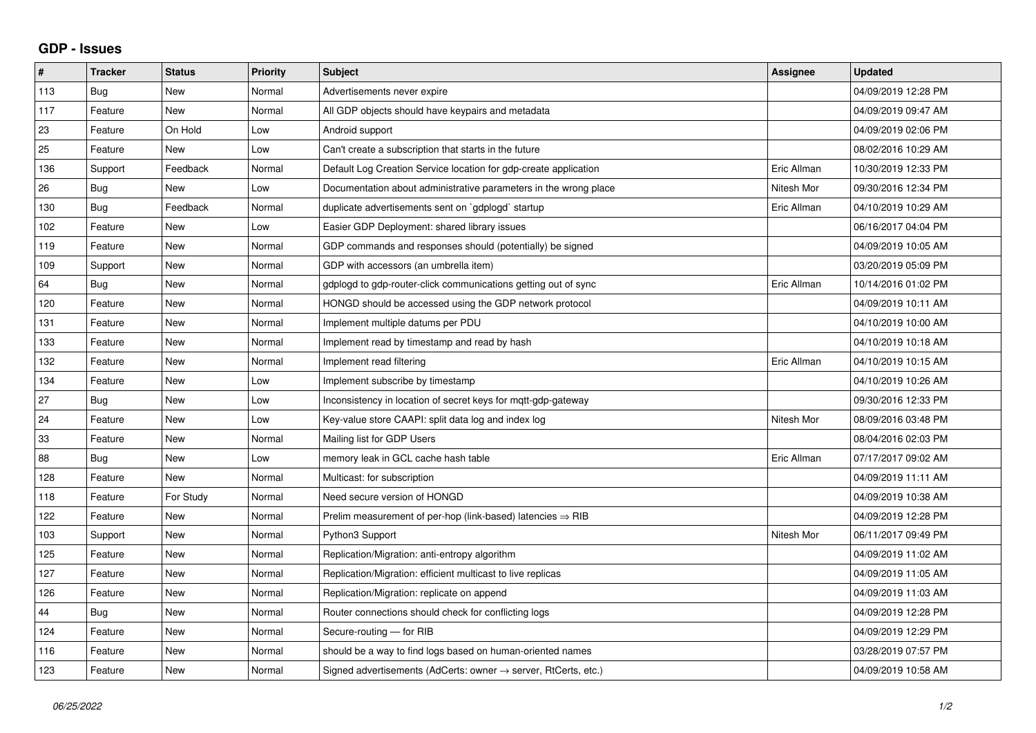## **GDP - Issues**

| $\sharp$ | <b>Tracker</b> | <b>Status</b> | <b>Priority</b> | <b>Subject</b>                                                             | Assignee    | <b>Updated</b>      |
|----------|----------------|---------------|-----------------|----------------------------------------------------------------------------|-------------|---------------------|
| 113      | Bug            | <b>New</b>    | Normal          | Advertisements never expire                                                |             | 04/09/2019 12:28 PM |
| 117      | Feature        | <b>New</b>    | Normal          | All GDP objects should have keypairs and metadata                          |             | 04/09/2019 09:47 AM |
| 23       | Feature        | On Hold       | Low             | Android support                                                            |             | 04/09/2019 02:06 PM |
| 25       | Feature        | New           | Low             | Can't create a subscription that starts in the future                      |             | 08/02/2016 10:29 AM |
| 136      | Support        | Feedback      | Normal          | Default Log Creation Service location for gdp-create application           | Eric Allman | 10/30/2019 12:33 PM |
| 26       | Bug            | <b>New</b>    | Low             | Documentation about administrative parameters in the wrong place           | Nitesh Mor  | 09/30/2016 12:34 PM |
| 130      | Bug            | Feedback      | Normal          | duplicate advertisements sent on `gdplogd` startup                         | Eric Allman | 04/10/2019 10:29 AM |
| 102      | Feature        | <b>New</b>    | Low             | Easier GDP Deployment: shared library issues                               |             | 06/16/2017 04:04 PM |
| 119      | Feature        | <b>New</b>    | Normal          | GDP commands and responses should (potentially) be signed                  |             | 04/09/2019 10:05 AM |
| 109      | Support        | <b>New</b>    | Normal          | GDP with accessors (an umbrella item)                                      |             | 03/20/2019 05:09 PM |
| 64       | Bug            | <b>New</b>    | Normal          | gdplogd to gdp-router-click communications getting out of sync             | Eric Allman | 10/14/2016 01:02 PM |
| 120      | Feature        | <b>New</b>    | Normal          | HONGD should be accessed using the GDP network protocol                    |             | 04/09/2019 10:11 AM |
| 131      | Feature        | <b>New</b>    | Normal          | Implement multiple datums per PDU                                          |             | 04/10/2019 10:00 AM |
| 133      | Feature        | <b>New</b>    | Normal          | Implement read by timestamp and read by hash                               |             | 04/10/2019 10:18 AM |
| 132      | Feature        | <b>New</b>    | Normal          | Implement read filtering                                                   | Eric Allman | 04/10/2019 10:15 AM |
| 134      | Feature        | <b>New</b>    | Low             | Implement subscribe by timestamp                                           |             | 04/10/2019 10:26 AM |
| 27       | Bug            | <b>New</b>    | Low             | Inconsistency in location of secret keys for mgtt-gdp-gateway              |             | 09/30/2016 12:33 PM |
| 24       | Feature        | <b>New</b>    | Low             | Key-value store CAAPI: split data log and index log                        | Nitesh Mor  | 08/09/2016 03:48 PM |
| 33       | Feature        | <b>New</b>    | Normal          | Mailing list for GDP Users                                                 |             | 08/04/2016 02:03 PM |
| 88       | Bug            | <b>New</b>    | Low             | memory leak in GCL cache hash table                                        | Eric Allman | 07/17/2017 09:02 AM |
| 128      | Feature        | <b>New</b>    | Normal          | Multicast: for subscription                                                |             | 04/09/2019 11:11 AM |
| 118      | Feature        | For Study     | Normal          | Need secure version of HONGD                                               |             | 04/09/2019 10:38 AM |
| 122      | Feature        | <b>New</b>    | Normal          | Prelim measurement of per-hop (link-based) latencies $\Rightarrow$ RIB     |             | 04/09/2019 12:28 PM |
| 103      | Support        | <b>New</b>    | Normal          | Python3 Support                                                            | Nitesh Mor  | 06/11/2017 09:49 PM |
| 125      | Feature        | <b>New</b>    | Normal          | Replication/Migration: anti-entropy algorithm                              |             | 04/09/2019 11:02 AM |
| 127      | Feature        | <b>New</b>    | Normal          | Replication/Migration: efficient multicast to live replicas                |             | 04/09/2019 11:05 AM |
| 126      | Feature        | <b>New</b>    | Normal          | Replication/Migration: replicate on append                                 |             | 04/09/2019 11:03 AM |
| 44       | Bug            | <b>New</b>    | Normal          | Router connections should check for conflicting logs                       |             | 04/09/2019 12:28 PM |
| 124      | Feature        | <b>New</b>    | Normal          | Secure-routing - for RIB                                                   |             | 04/09/2019 12:29 PM |
| 116      | Feature        | <b>New</b>    | Normal          | should be a way to find logs based on human-oriented names                 |             | 03/28/2019 07:57 PM |
| 123      | Feature        | <b>New</b>    | Normal          | Signed advertisements (AdCerts: owner $\rightarrow$ server, RtCerts, etc.) |             | 04/09/2019 10:58 AM |